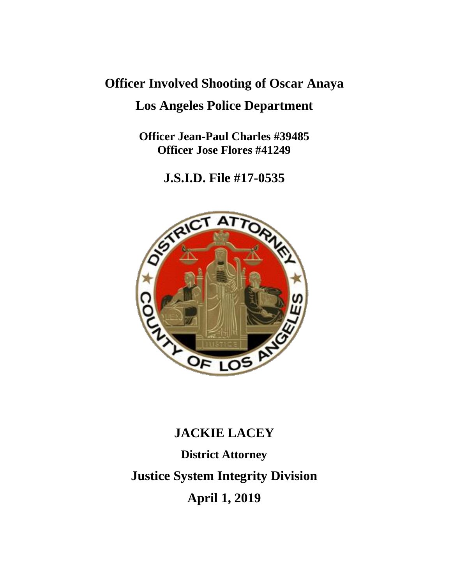## **Officer Involved Shooting of Oscar Anaya Los Angeles Police Department**

**Officer Jean-Paul Charles #39485 Officer Jose Flores #41249**

**J.S.I.D. File #17-0535**



# **JACKIE LACEY District Attorney Justice System Integrity Division April 1, 2019**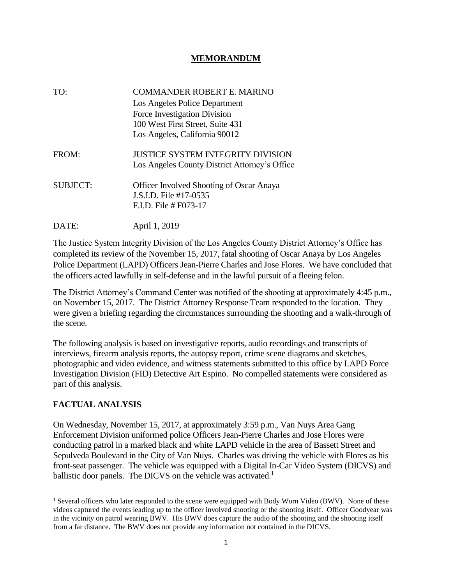#### **MEMORANDUM**

| TO:             | COMMANDER ROBERT E. MARINO<br>Los Angeles Police Department<br>Force Investigation Division<br>100 West First Street, Suite 431<br>Los Angeles, California 90012 |
|-----------------|------------------------------------------------------------------------------------------------------------------------------------------------------------------|
| FROM:           | JUSTICE SYSTEM INTEGRITY DIVISION<br>Los Angeles County District Attorney's Office                                                                               |
| <b>SUBJECT:</b> | <b>Officer Involved Shooting of Oscar Anaya</b><br>J.S.I.D. File #17-0535<br>$F.ID$ . File # F073-17                                                             |

The Justice System Integrity Division of the Los Angeles County District Attorney's Office has completed its review of the November 15, 2017, fatal shooting of Oscar Anaya by Los Angeles Police Department (LAPD) Officers Jean-Pierre Charles and Jose Flores. We have concluded that the officers acted lawfully in self-defense and in the lawful pursuit of a fleeing felon.

The District Attorney's Command Center was notified of the shooting at approximately 4:45 p.m., on November 15, 2017. The District Attorney Response Team responded to the location. They were given a briefing regarding the circumstances surrounding the shooting and a walk-through of the scene.

The following analysis is based on investigative reports, audio recordings and transcripts of interviews, firearm analysis reports, the autopsy report, crime scene diagrams and sketches, photographic and video evidence, and witness statements submitted to this office by LAPD Force Investigation Division (FID) Detective Art Espino. No compelled statements were considered as part of this analysis.

#### **FACTUAL ANALYSIS**

 $\overline{\phantom{a}}$ 

DATE: April 1, 2019

On Wednesday, November 15, 2017, at approximately 3:59 p.m., Van Nuys Area Gang Enforcement Division uniformed police Officers Jean-Pierre Charles and Jose Flores were conducting patrol in a marked black and white LAPD vehicle in the area of Bassett Street and Sepulveda Boulevard in the City of Van Nuys. Charles was driving the vehicle with Flores as his front-seat passenger. The vehicle was equipped with a Digital In-Car Video System (DICVS) and ballistic door panels. The DICVS on the vehicle was activated.<sup>1</sup>

<sup>&</sup>lt;sup>1</sup> Several officers who later responded to the scene were equipped with Body Worn Video (BWV). None of these videos captured the events leading up to the officer involved shooting or the shooting itself. Officer Goodyear was in the vicinity on patrol wearing BWV. His BWV does capture the audio of the shooting and the shooting itself from a far distance. The BWV does not provide any information not contained in the DICVS.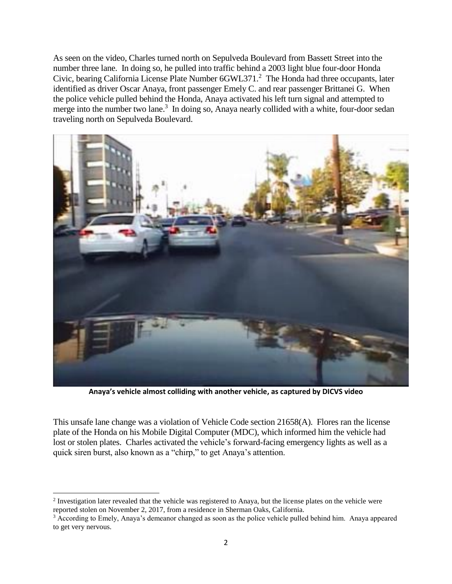As seen on the video, Charles turned north on Sepulveda Boulevard from Bassett Street into the number three lane. In doing so, he pulled into traffic behind a 2003 light blue four-door Honda Civic, bearing California License Plate Number 6GWL371.<sup>2</sup> The Honda had three occupants, later identified as driver Oscar Anaya, front passenger Emely C. and rear passenger Brittanei G. When the police vehicle pulled behind the Honda, Anaya activated his left turn signal and attempted to merge into the number two lane.<sup>3</sup> In doing so, Anaya nearly collided with a white, four-door sedan traveling north on Sepulveda Boulevard.



**Anaya's vehicle almost colliding with another vehicle, as captured by DICVS video**

This unsafe lane change was a violation of Vehicle Code section 21658(A). Flores ran the license plate of the Honda on his Mobile Digital Computer (MDC), which informed him the vehicle had lost or stolen plates. Charles activated the vehicle's forward-facing emergency lights as well as a quick siren burst, also known as a "chirp," to get Anaya's attention.

 $\overline{\phantom{a}}$ 

<sup>&</sup>lt;sup>2</sup> Investigation later revealed that the vehicle was registered to Anaya, but the license plates on the vehicle were reported stolen on November 2, 2017, from a residence in Sherman Oaks, California.

<sup>3</sup> According to Emely, Anaya's demeanor changed as soon as the police vehicle pulled behind him. Anaya appeared to get very nervous.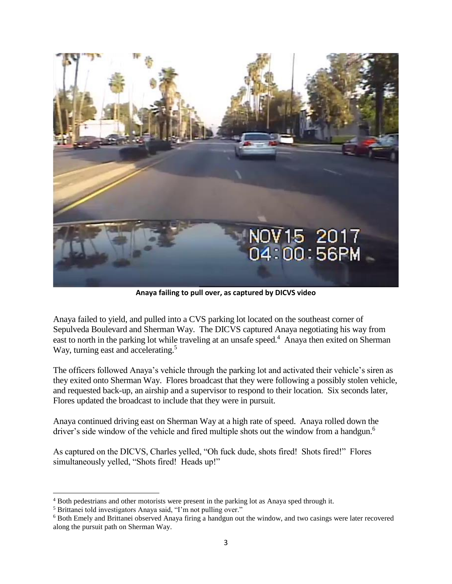

**Anaya failing to pull over, as captured by DICVS video**

Anaya failed to yield, and pulled into a CVS parking lot located on the southeast corner of Sepulveda Boulevard and Sherman Way. The DICVS captured Anaya negotiating his way from east to north in the parking lot while traveling at an unsafe speed.<sup>4</sup> Anaya then exited on Sherman Way, turning east and accelerating.<sup>5</sup>

The officers followed Anaya's vehicle through the parking lot and activated their vehicle's siren as they exited onto Sherman Way. Flores broadcast that they were following a possibly stolen vehicle, and requested back-up, an airship and a supervisor to respond to their location. Six seconds later, Flores updated the broadcast to include that they were in pursuit.

Anaya continued driving east on Sherman Way at a high rate of speed. Anaya rolled down the driver's side window of the vehicle and fired multiple shots out the window from a handgun.<sup>6</sup>

As captured on the DICVS, Charles yelled, "Oh fuck dude, shots fired! Shots fired!" Flores simultaneously yelled, "Shots fired! Heads up!"

 $\overline{\phantom{a}}$ 

<sup>4</sup> Both pedestrians and other motorists were present in the parking lot as Anaya sped through it.

<sup>5</sup> Brittanei told investigators Anaya said, "I'm not pulling over."

<sup>6</sup> Both Emely and Brittanei observed Anaya firing a handgun out the window, and two casings were later recovered along the pursuit path on Sherman Way.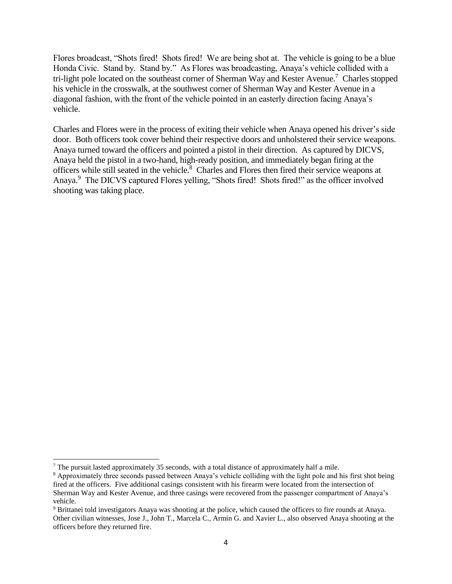Flores broadcast, "Shots fired! Shots fired! We are being shot at. The vehicle is going to be a blue Honda Civic. Stand by. Stand by." As Flores was broadcasting, Anaya's vehicle collided with a tri-light pole located on the southeast corner of Sherman Way and Kester Avenue.<sup>7</sup> Charles stopped his vehicle in the crosswalk, at the southwest corner of Sherman Way and Kester Avenue in a diagonal fashion, with the front of the vehicle pointed in an easterly direction facing Anaya's vehicle.

Charles and Flores were in the process of exiting their vehicle when Anaya opened his driver's side door. Both officers took cover behind their respective doors and unholstered their service weapons. Anaya turned toward the officers and pointed a pistol in their direction. As captured by DICVS, Anaya held the pistol in a two-hand, high-ready position, and immediately began firing at the officers while still seated in the vehicle.<sup>8</sup> Charles and Flores then fired their service weapons at Anaya.<sup>9</sup> The DICVS captured Flores yelling, "Shots fired! Shots fired!" as the officer involved shooting was taking place.

 $\overline{a}$ 

<sup>7</sup> The pursuit lasted approximately 35 seconds, with a total distance of approximately half a mile.

<sup>8</sup> Approximately three seconds passed between Anaya's vehicle colliding with the light pole and his first shot being fired at the officers. Five additional casings consistent with his firearm were located from the intersection of Sherman Way and Kester Avenue, and three casings were recovered from the passenger compartment of Anaya's vehicle.

<sup>9</sup> Brittanei told investigators Anaya was shooting at the police, which caused the officers to fire rounds at Anaya. Other civilian witnesses, Jose J., John T., Marcela C., Armin G. and Xavier L., also observed Anaya shooting at the officers before they returned fire.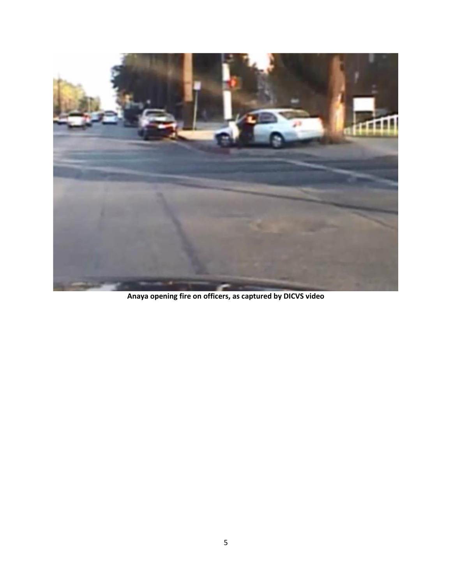

**Anaya opening fire on officers, as captured by DICVS video**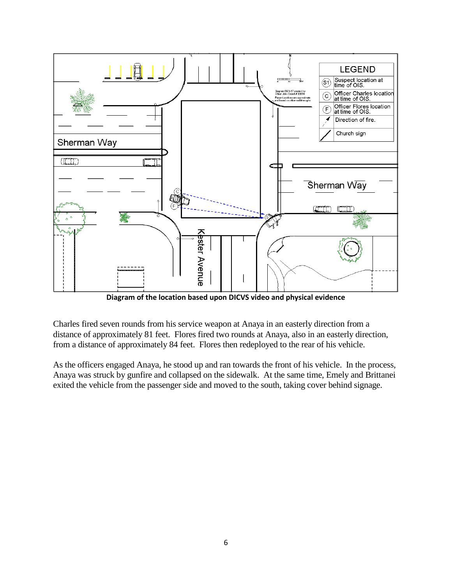

**Diagram of the location based upon DICVS video and physical evidence**

Charles fired seven rounds from his service weapon at Anaya in an easterly direction from a distance of approximately 81 feet. Flores fired two rounds at Anaya, also in an easterly direction, from a distance of approximately 84 feet. Flores then redeployed to the rear of his vehicle.

As the officers engaged Anaya, he stood up and ran towards the front of his vehicle. In the process, Anaya was struck by gunfire and collapsed on the sidewalk. At the same time, Emely and Brittanei exited the vehicle from the passenger side and moved to the south, taking cover behind signage.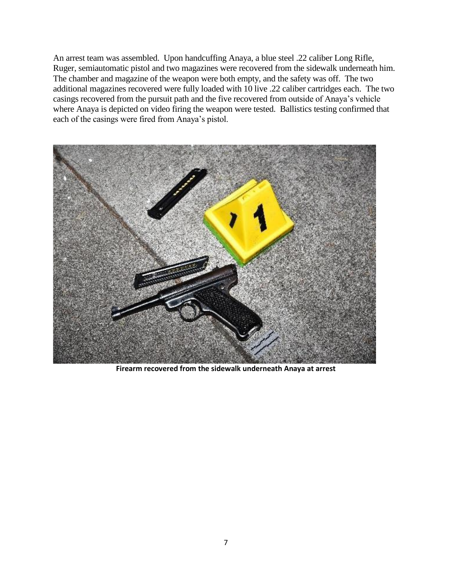An arrest team was assembled. Upon handcuffing Anaya, a blue steel .22 caliber Long Rifle, Ruger, semiautomatic pistol and two magazines were recovered from the sidewalk underneath him. The chamber and magazine of the weapon were both empty, and the safety was off. The two additional magazines recovered were fully loaded with 10 live .22 caliber cartridges each. The two casings recovered from the pursuit path and the five recovered from outside of Anaya's vehicle where Anaya is depicted on video firing the weapon were tested. Ballistics testing confirmed that each of the casings were fired from Anaya's pistol.



**Firearm recovered from the sidewalk underneath Anaya at arrest**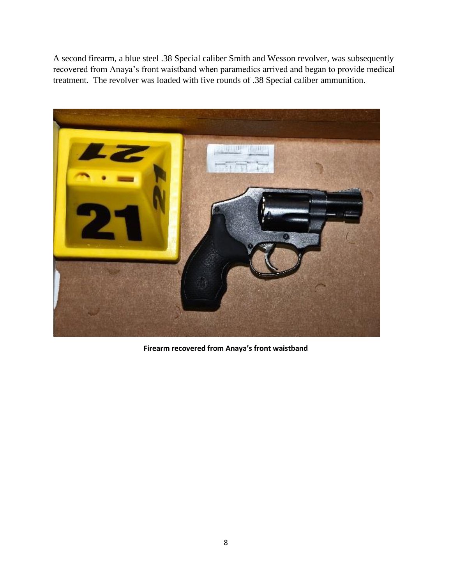A second firearm, a blue steel .38 Special caliber Smith and Wesson revolver, was subsequently recovered from Anaya's front waistband when paramedics arrived and began to provide medical treatment. The revolver was loaded with five rounds of .38 Special caliber ammunition.



**Firearm recovered from Anaya's front waistband**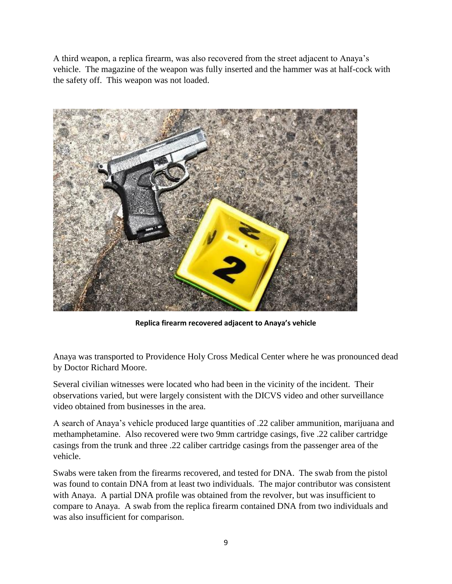A third weapon, a replica firearm, was also recovered from the street adjacent to Anaya's vehicle. The magazine of the weapon was fully inserted and the hammer was at half-cock with the safety off. This weapon was not loaded.



**Replica firearm recovered adjacent to Anaya's vehicle**

Anaya was transported to Providence Holy Cross Medical Center where he was pronounced dead by Doctor Richard Moore.

Several civilian witnesses were located who had been in the vicinity of the incident. Their observations varied, but were largely consistent with the DICVS video and other surveillance video obtained from businesses in the area.

A search of Anaya's vehicle produced large quantities of .22 caliber ammunition, marijuana and methamphetamine. Also recovered were two 9mm cartridge casings, five .22 caliber cartridge casings from the trunk and three .22 caliber cartridge casings from the passenger area of the vehicle.

Swabs were taken from the firearms recovered, and tested for DNA. The swab from the pistol was found to contain DNA from at least two individuals. The major contributor was consistent with Anaya. A partial DNA profile was obtained from the revolver, but was insufficient to compare to Anaya. A swab from the replica firearm contained DNA from two individuals and was also insufficient for comparison.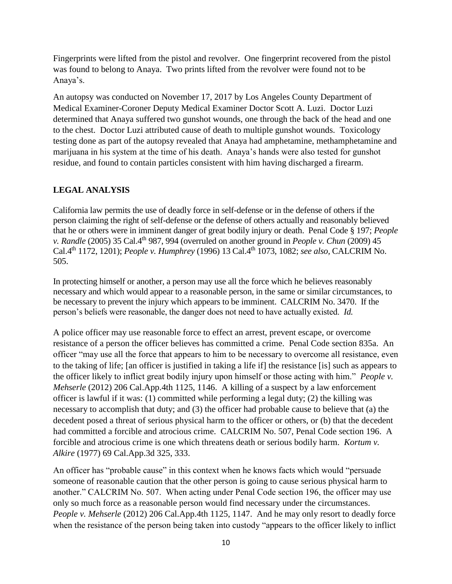Fingerprints were lifted from the pistol and revolver. One fingerprint recovered from the pistol was found to belong to Anaya. Two prints lifted from the revolver were found not to be Anaya's.

An autopsy was conducted on November 17, 2017 by Los Angeles County Department of Medical Examiner-Coroner Deputy Medical Examiner Doctor Scott A. Luzi. Doctor Luzi determined that Anaya suffered two gunshot wounds, one through the back of the head and one to the chest. Doctor Luzi attributed cause of death to multiple gunshot wounds. Toxicology testing done as part of the autopsy revealed that Anaya had amphetamine, methamphetamine and marijuana in his system at the time of his death. Anaya's hands were also tested for gunshot residue, and found to contain particles consistent with him having discharged a firearm.

#### **LEGAL ANALYSIS**

California law permits the use of deadly force in self-defense or in the defense of others if the person claiming the right of self-defense or the defense of others actually and reasonably believed that he or others were in imminent danger of great bodily injury or death. Penal Code § 197; *People v. Randle* (2005) 35 Cal.4<sup>th</sup> 987, 994 (overruled on another ground in *People v. Chun* (2009) 45 Cal.4th 1172, 1201); *People v. Humphrey* (1996) 13 Cal.4th 1073, 1082; *see also,* CALCRIM No. 505.

In protecting himself or another, a person may use all the force which he believes reasonably necessary and which would appear to a reasonable person, in the same or similar circumstances, to be necessary to prevent the injury which appears to be imminent. CALCRIM No. 3470. If the person's beliefs were reasonable, the danger does not need to have actually existed. *Id.*

A police officer may use reasonable force to effect an arrest, prevent escape, or overcome resistance of a person the officer believes has committed a crime. Penal Code section 835a. An officer "may use all the force that appears to him to be necessary to overcome all resistance, even to the taking of life; [an officer is justified in taking a life if] the resistance [is] such as appears to the officer likely to inflict great bodily injury upon himself or those acting with him." *People v. Mehserle* (2012) 206 Cal.App.4th 1125, 1146. A killing of a suspect by a law enforcement officer is lawful if it was: (1) committed while performing a legal duty; (2) the killing was necessary to accomplish that duty; and (3) the officer had probable cause to believe that (a) the decedent posed a threat of serious physical harm to the officer or others, or (b) that the decedent had committed a forcible and atrocious crime. CALCRIM No. 507, Penal Code section 196. A forcible and atrocious crime is one which threatens death or serious bodily harm. *Kortum v. Alkire* (1977) 69 Cal.App.3d 325, 333.

An officer has "probable cause" in this context when he knows facts which would "persuade someone of reasonable caution that the other person is going to cause serious physical harm to another." CALCRIM No. 507. When acting under Penal Code section 196, the officer may use only so much force as a reasonable person would find necessary under the circumstances. *People v. Mehserle* (2012) 206 Cal.App.4th 1125, 1147. And he may only resort to deadly force when the resistance of the person being taken into custody "appears to the officer likely to inflict